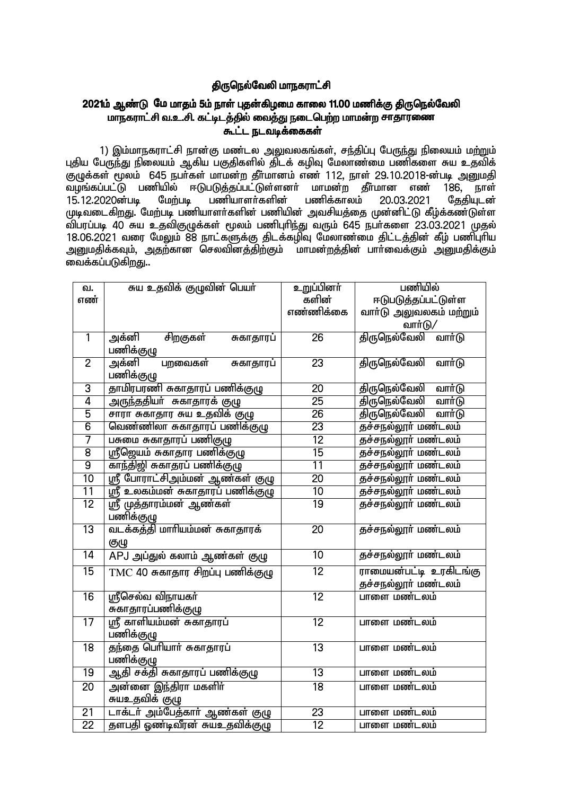## திருநெல்வேலி மாநகராட்சி

## 2021ம் ஆண்டு மே மாதம் 5ம் நாள் புதன்கிழமை காலை 11.00 மணிக்கு திருநெல்வேலி மாநகராட்சி வ.உ.சி. கட்டிடத்தில் வைத்து நடைபெற்ற மாமன்ற சாதாரணை

1) இம்மாநகராட்சி நான்கு மண்டல அலுவலகங்கள், சந்திப்பு பேருந்து நிலையம் மற்றும் புதிய பேருந்து நிலையம் ஆகிய பகுதிகளில் திடக் கழிவு மேலாண்மை பணிகளை சுய உதவிக் குழுக்கள் மூலம் 645 நபர்கள் மாமன்ற தீர்மானம் எண் 112, நாள் 29.10.2018-ன்படி அறையதி .<br>வழங்கப்பட்டு பணியில் ஈடுபடுக்கப்பட்டுள்ளனர் மாமன்ற கீர்மான எண் 186. நாள் பணிக்காலம் மேற்படி பணியாளர்களின் 15.12.2020ன்படி 20.03.2021 தேதியுடன் முடிவடைகிறது. மேற்படி பணியாளர்களின் பணியின் அவசியத்தை முன்னிட்டு கீழ்க்கண்டுள்ள விப்ரப்படி 40 சுய உதவிகுமுக்கள் மூலம் பணிபுரிந்து வரும் 645 நபர்களை 23.03.2021 முதல் 18.06.2021 வரை மேலும் 88 நாட்களுக்கு திடக்கழிவு மேலாண்மை திட்டத்தின் கீழ் பணிபுரிய அனுமதிக்கவும், அதற்கான செலவினத்திற்கும் மாமன்றத்தின் பாா்வைக்கும் அனுமதிக்கும் வைக்கப்படுகிறது..

| வ.              | சுய உதவிக் குழுவின் பெயா்         | உறுப்பினர்      | பணியில்                         |
|-----------------|-----------------------------------|-----------------|---------------------------------|
| எண்             |                                   | களின்           | ஈடுபடுத்தப்பட்டுள்ள             |
|                 |                                   | எண்ணிக்கை       | வாா்டு அலுவலகம் மற்றும்         |
|                 |                                   |                 | வார்டு/                         |
| $\overline{1}$  | சிறகுகள்<br>அக்னி<br>சுகாதாரப்    | $\overline{26}$ | திருநெல்வேலி<br>வார்டு          |
|                 | பணிக்குழு                         |                 |                                 |
| $\overline{2}$  | அக்னி<br>பறவைகள்<br>சுகாதாரப்     | 23              | <u>திருநெல்வேலி</u><br>வார்டு   |
|                 | பணிக்குழு                         |                 |                                 |
| $\overline{3}$  | தாமிரபரணி சுகாதாரப் பணிக்குழு     | $\overline{20}$ | <u>திருநெல்வேலி</u><br>வார்டு   |
| $\overline{4}$  | அருந்ததியா் சுகாதாரக் குழு        | $\overline{25}$ | திருநெல்வேலி<br>வார்டு          |
| $\overline{5}$  | சாரா சுகாதார சுய உதவிக் குழு      | $\overline{26}$ | திருநெல்வேலி<br>வார்டு          |
| $\overline{6}$  | வெண்ணிலா சுகாதாரப் பணிக்குழு      | $\overline{23}$ | தச்சநல்லூர் மண்டலம்             |
| 7               | பசுமை சுகாதாரப் பணிகுழு           | 12              | <del>தச்சநல்லூர் மண்</del> டலம் |
| $\overline{8}$  | ஸ்ரீஜெயம் சுகாதார பணிக்குழு       | $\overline{15}$ | தச்சநல்லூர் மண்டலம்             |
| $\overline{9}$  | காந்திஜி சுகாதரப் பணிக்குழு       | 11              | தச்சநல்லூர் மண்டலம்             |
| $\overline{10}$ | ஸ்ரீ போராட்சிஅம்மன் ஆண்கள் குழு   | $\overline{20}$ | தச்சநல்லூர் மண்டலம்             |
| 11              | ஸ்ரீ உலகம்மன் சுகாதாரப் பணிக்குழு | 10              | <del>தச்ச</del> நல்லூர் மண்டலம் |
| $\overline{12}$ | ஸ்ரீ முத்தாரம்மன் ஆண்கள்          | $\overline{19}$ | தச்சநல்லூர் மண்டலம்             |
|                 | பணிக்குழு                         |                 |                                 |
| 13              | வடக்கத்தி மாரியம்மன் சுகாதாரக்    | $\overline{20}$ | தச்சநல்லூர் மண்டலம்             |
|                 | குழு                              |                 |                                 |
| $\overline{14}$ | APJ அப்துல் கலாம் ஆண்கள் குழு     | $\overline{10}$ | தச்சநல்லூர் மண்டலம்             |
| 15              | TMC 40 சுகாதார சிறப்பு பணிக்குழு  | $\overline{12}$ | ராமையன்பட்டி உரகிடங்கு          |
|                 |                                   |                 | தச்சநல்லூர் மண்டலம்             |
| 16              | ஸ்ரீசெல்வ விநாயகர்                | 12              | பாளை மண்டலம்                    |
|                 | சுகாதாரப்பணிக்குழு                |                 |                                 |
| 17              | ஸ்ரீ காளியம்மன் சுகாதாரப்         | $\overline{12}$ | பாளை மண்டலம்                    |
|                 | பணிக்குழு                         |                 |                                 |
| $\overline{18}$ | தந்தை பெரியார் சுகாதாரப்          | $\overline{13}$ | பாளை மண்டலம்                    |
|                 | பணிக்குழு                         |                 |                                 |
| 19              | ஆதி சக்தி சுகாதாரப் பணிக்குழு     | $\overline{13}$ | பாளை மண்டலம்                    |
| $\overline{20}$ | <u>அன்னை இந்திரா மகளிர்</u>       | $\overline{18}$ | பாளை மண்டலம்                    |
|                 | சுயஉதவிக் குழு                    |                 |                                 |
| $\overline{21}$ | டாக்டர் அம்பேத்கார் ஆண்கள் குழு   | $\overline{23}$ | பாளை மண்டலம்                    |
| $\overline{22}$ | தளபதி ஓண்டிவீரன் சுயஉதவிக்குழு    | $\overline{12}$ | பாளை மண்டலம்                    |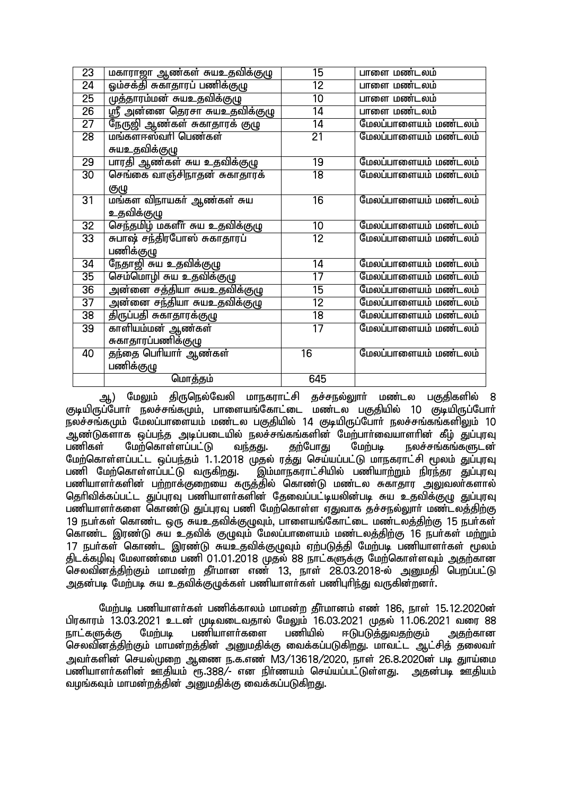| 23              | மகாராஜா ஆண்கள் சுயஉதவிக்குழு                                | 15              | பாளை மண்டலம்         |
|-----------------|-------------------------------------------------------------|-----------------|----------------------|
| 24              | .<br>ஓம்சக்தி சுகாதாரப் பணிக்குழு                           | $\overline{12}$ | பாளை மண்டலம்         |
| $\overline{25}$ | முத்தாரம்மன் சுயஉதவிக்குழு                                  | 10              | பாளை மண்டலம்         |
| $\overline{26}$ | <u>ர் அன்னை தெரசா சுயஉதவிக்குழு</u>                         | 14              | பாளை மண்டலம்         |
| 27              | நேருஜி ஆண்கள் சுகாதாரக் குழு                                | 14              | மேலப்பாளையம் மண்டலம் |
| $\overline{28}$ | மங்களாஸ்வரி பெண்கள்                                         | $\overline{21}$ | மேலப்பாளையம் மண்டலம் |
|                 | சுயஉதவிக்குழு                                               |                 |                      |
| 29              | பாரதி ஆண்கள் சுய உதவிக்குழு<br>செங்கை வாஞ்சிநாதன் சுகாதாரக் | 19              | மேலப்பாளையம் மண்டலம் |
| 30              |                                                             | $\overline{18}$ | மேலப்பாளையம் மண்டலம் |
|                 |                                                             |                 |                      |
| 31              | <u>குழு</u><br>மங்கள விநாயகா் ஆண்கள் சுய                    | $\overline{16}$ | மேலப்பாளையம் மண்டலம் |
|                 | உதவிக்குழு                                                  |                 |                      |
| $\overline{32}$ | ————————————————————<br>செந்தமிழ் மகளீா் சுய உதவிக்குழு     | 10              | மேலப்பாளையம் மண்டலம் |
| 33              | சுபாஷ் சந்திரபோஸ் சுகாதாரப்                                 | 12              | மேலப்பாளையம் மண்டலம் |
|                 | பணிக்குழு                                                   |                 |                      |
| 34              | <u>நேதாஜி சுய உதவிக்குழு</u>                                | 14              | மேலப்பாளையம் மண்டலம் |
| 35              | செம்மொழி சுய உதவிக்குழு                                     | 17              | மேலப்பாளையம் மண்டலம் |
| $\overline{36}$ | அன்னை சத்தியா சுயஉதவிக்குழு                                 | $\overline{15}$ | மேலப்பாளையம் மண்டலம் |
| $\overline{37}$ | அன்னை சந்தியா சுயஉதவிக்குழு                                 | $\overline{12}$ | மேலப்பாளையம் மண்டலம் |
| $\overline{38}$ | திருப்பதி சுகாதாரக்குழு                                     | $\overline{18}$ | மேலப்பாளையம் மண்டலம் |
| 39              | காளியம்மன் ஆண்கள்                                           | $\overline{17}$ | மேலப்பாளையம் மண்டலம் |
|                 | சுகாதாரப்பணிக்குழு                                          |                 |                      |
| 40              | தந்தை பெரியார் ஆண்கள்                                       | $\overline{16}$ | மேலப்பாளையம் மண்டலம் |
|                 | பணிக்குழு                                                   |                 |                      |
|                 | மொத்தம்                                                     | 645             |                      |

ஆ) மேலும் திருநெல்வேலி மாநகராட்சி தச்சநல்லூா் மண்டல பகுதிகளில் 8 குடியிருப்போா் நலச்சங்கமும், பாளையங்கோட்டை மண்டல பகுதியில் 10 குடியிருப்போா் நலச்சங்கமும் மேலப்பாளையம் மண்டல பகுதியில் 14 குடியிருப்போர் நலச்சங்கங்களிலும் 10 .ஆண்டுகளாக ஒப்பந்த அடிப்படையில் நலச்சங்கங்களின் மேற்பாா்வையாளாின் கீழ் துப்புரவு<br>பணிகள் மேற்கொள்ளப்பட்டு வந்தது. தற்போது மேற்படி நலச்சங்கங்களுடன் நலச்சங்கங்களுடன<u>்</u> மேற்கொள்ளப்பட்ட ஒப்பந்தம் 1.1.2018 முதல் ரத்து செய்யப்பட்டு மாநகராட்சி மூலம் துப்புரவு<br>பணி மேற்கொள்ளப்பட்டு வருகிறது. இம்மாநகராட்சியில் பணியாற்றும் நிரந்தர துப்புரவு ,<br>இம்மாநகராட்சியில் பணியாற்றும் நிரந்தர துப்புரவு பணியாளர்களின் பற்றாக்குறையை கருத்தில் கொண்டு மண்டல சுகாதார அலுவலர்களால் தெரிவிக்கப்பட்ட துப்புரவு பணியாளர்களின் தேவைப்பட்டியலின்படி சுய உதவிக்குழு துப்புரவு பணியாளர்களை கொண்டு துப்புரவு பணி மேற்கொள்ள ஏதுவாக தச்சநல்லுார் மண்டல<u>த்திற்கு</u> 19 நபர்கள் கொண்ட ஒரு சுயஉதவிக்குழுவும், பாளையங்கோட்டை மண்டலத்திற்கு 15 நபர்கள் கொண்ட இரண்டு சுய உதவிக் குழுவும் மேலப்பாளையம் மண்டலத்திற்கு 16 நபர்கள் மற்றும் 17 நபா்கள் கொண்ட இரண்டு சுயஉதவிக்குழுவும் ஏற்படுத்தி மேற்படி பணியாளா்கள் மூலம் திடக்கழிவு மேலாண்மை பணி 01.01.2018 முதல் 88 நாட்களுக்கு மேற்கொள்ளவம் அகற்கான செலவினத்திற்கும் மாமன்ற தீர்மான எண் 13, நாள் 28.03.2018-ல் அனுமதி பெறப்பட்டு <u>அத</u>ன்படி மேற்படி சுய உதவிக்குமுக்கள் பணியாளர்கள் பணிபுரிர்கு வருகின்றனர்.

மேற்படி பணியாளர்கள் பணிக்காலம் மாமன்ற தீர்மானம் எண் 186, நாள் 15.12.2020ன் பிரகாரம் 13.03.2021 உடன் முடிவடைவதால் மேலும் 16.03.2021 முதல் 11.06.2021 வரை 88<br>நாட்களுக்கு மேற்படி பணியாளர்களை பணியில் ஈடுபடு<u>த்துவதற்கு</u>ம் அகற்கான ஈடுபடுத்துவதற்கும் செலவினத்திற்கும் மாமன்றத்தின் அனுமதிக்கு வைக்கப்படுகிறது. மாவட்ட ஆட்சித் தலைவர் அவர்களின் செயல்முறை ஆணை ந.க.எண் M3/13618/2020, நாள் 26.8.2020ன் படி துாய்மை பணியாளர்களின் ஊதியம் ரூ.388/- என நிர்ணயம் செய்யப்பட்டுள்ளது. அதன்படி ஊதியம் வழங்கவும் மாமன்றத்தின் அனுமதிக்கு வைக்கப்படுகிறது.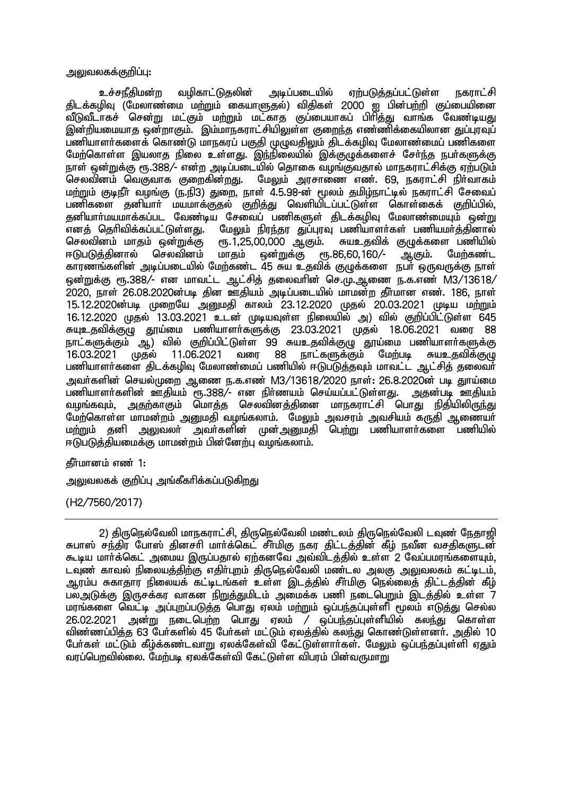அலுவலகக்குறிப்பு:

அடிப்படையில் <u>உச்சநீகிமன்ற</u> வமிகாட்டுகலின் எற்படுக்கப்பட்டுள்ள **நகாாட்சி** திடக்கழிவு (மேலாண்மை மற்றும் கையாளுதல்) விதிகள் 2000 ஐ பின்பற்றி குப்பையினை வீடுவீடாகச் சென்று மட்கும் மற்றும் மட்காத குப்பையாகப் பிரித்து வாங்க வேண்டியது .<br>இன்றியமையாத ஒன்றாகும். இம்மாநகராட்சியிலுள்ள குறைந்த எண்ணிக்கையிலான குப்பாவப் பணியாளர்களைக் கொண்டு மாநகரப் பகுகி முமுவகிலும் கிடக்கமிவு மேலாண்மைப் பணிகளை மேற்கொள்ள இயலாத நிலை உள்ளது. இந்நிலையில் இக்குழுக்களைச் சேர்ந்த நபர்களுக்கு நாள் ஒன்றுக்கு ரூ.388/- என்ற அடிப்படையில் தொகை வழங்குவதால் மாநகராட்சிக்கு ஏற்படும் செலவினம் வெகுவாக குறைகின்றது. மேலும் அரசாணை எண். 69, நகராட்சி நிர்வாகம் மற்றும் குடிநீர் வழங்கு (ந.நி3) துறை, நாள் 4.5.98-ன் மூலம் தமிழ்நாட்டில் நகராட்சி சேவைப் பணிகளை தனியாா் மயமாக்குதல் குறித்து வெளியிடப்பட்டுள்ள கொள்கைக் குறிப்பில், தனியார்மயமாக்கப்பட வேண்டிய சேவைப் பணிகளுள் திடக்கழிவு மேலாண்மையும் ஒன்று மேலும் நிரந்தர துப்புரவு பணியாளர்கள் பணியமர்த்தினால் எனக் தெரிவிக்கப்பட்டுள்ளது. செலவினம் மாதம் ஒன்றுக்கு ரூ.1,25,00,000 ஆகும். சுயஉதவிக் குழுக்களை பணியில் ஈடுபடுக்கினால் செலவினம் மாகம் ஒன்றுக்கு <sub>е</sub>п.86,60,160/-ஆகும். மேர்கண்ட காரணங்களின் அடிப்படையில் மேற்கண்ட 45 சுய உதவிக் குழுக்களை நபர் ஒருவருக்கு நாள் ஒன்றுக்கு ரூ.388/- என மாவட்ட ஆட்சித் தலைவரின் செ.மு.ஆணை ந.க.எண் M3/13618/ 2020, நாள் 26.08.2020ன்படி தின ஊதியம் அடிப்படையில் மாமன்ற தீர்மான எண். 186, நாள் 15.12.2020ன்படி முறையே அறுமதி காலம் 23.12.2020 முதல் 20.03.2021 முடிய மற்றும்  $16.12.2020$  முகல்  $13.03.2021$  உடன் முடியவுள்ள நிலையில் அ) வில் குறிப்பிட்டுள்ள 645 சுயுஉதவிக்குமு தூய்மை பணியாளர்களுக்கு 23.03.2021 முதல் 18.06.2021 வரை 88 நாட்களுக்கும் ஆ) வில் குறிப்பிட்டுள்ள 99 சுயஉதவிக்குழு தூய்மை பணியாளர்களுக்கு 16.03.2021 முகல் 11.06.2021 வரை 88 **நாட்களுக்கும்** மேற்படி சுயஉகவிக்கும பணியாளர்களை திடக்கழிவு மேலாண்மைப் பணியில் ஈடுபடுத்தவும் மாவட்ட ஆட்சித் தலைவர் அவர்களின் செயல்முறை ஆணை ந.க.எண் M3/13618/2020 நாள்: 26.8.2020ன் படி துாய்மை பணியாளர்களின் ஊதியம் ரூ.388/- என நிர்ணயம் செய்யப்பட்டுள்ளது. அகன்படி ஊகியம் அதற்காகும் மொக்க செலவினக்கினை மாநகராட்சி பொது நிகியிலிருந்து வமங்கவம். மேற்கொள்ள மாமன்றம் அனுமதி வழங்கலாம். மேலும் அவசரம் அவசியம் கருதி ஆணையா் அலுவலா் அவா்களின் முன்அனுமதி பெற்று பணியாளா்களை பணியில் மற்றும் கனி ஈடுபடுத்தியமைக்கு மாமன்றம் பின்னேற்பு வழங்கலாம்.

கீர்மானம் எண் 1:

அலுவலகக் குறிப்பு அங்கீகரிக்கப்படுகிறது

(H<sub>2</sub>/7560/2017)

2) கிருநெல்வேலி மாநகாரட்சி, கிருநெல்வேலி மண்டலம் கிருநெல்வேலி டவண் நேகாறி சுபாஸ் சந்திர போஸ் தினசரி மார்க்கெட் சீர்மிகு நகர திட்டத்தின் கீம் நவீன வசதிகளுடன் கூடிய மார்க்கெட் அமைய இருப்பதால் ஏற்கனவே அவ்விடத்தில் உள்ள 2 வேப்பமரங்களையும், டவுண் காவல் நிலையத்திற்கு எதிர்புறம் திருநெல்வேலி மண்டல அலகு அலுவலகம் கட்டிடம், ஆரம்ப சுகாதார நிலையக் கட்டிடங்கள் உள்ள இடத்தில் சீா்மிகு நெல்லைத் திட்டத்தின் கீழ் பலஅடுக்கு இருசக்கர வாகன நிறுத்துமிடம் அமைக்க பணி நடைபெறும் இடத்தில் உள்ள 7 மரங்களை வெட்டி அப்புறப்படுத்த பொது ஏலம் மற்றும் ஒப்பந்தப்புள்ளி மூலம் எடுத்து செல்ல ் 26.02.2021 அன்று நடைபெற்ற பொது ஏலம் / ஒப்பந்தப்புள்ளியில் கலந்து கொள்ள<br>விண்ணப்பித்த 63 பேர்களில் 45 பேர்கள் மட்டும் ஏலத்தில் கலந்து கொண்டுள்ளனர். அதில் 10 பேர்கள் மட்டும் கீழ்க்கண்டவாறு ஏலக்கேள்வி கேட்டுள்ளார்கள். மேலும் ஒப்பந்தப்புள்ளி ஏதும் வாப்பொவில்லை. மேற்படி எலக்கேள்வி கேட்டுள்ள விபாம் பின்வருமாறு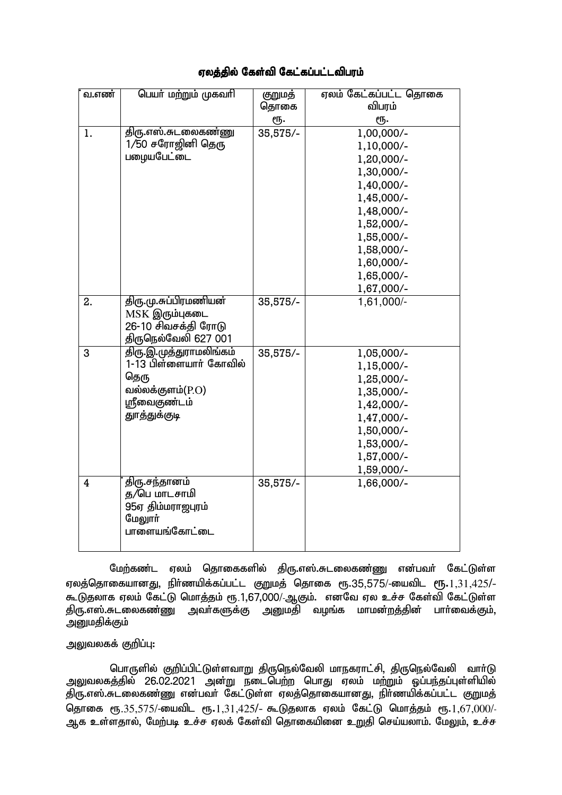## ஏலத்தில் கேள்வி கேட்கப்பட்டவிபரம்

| வ.எண்          | பெயர் மற்றும் முகவரி    | குறுமத்  | ஏலம் கேட்கப்பட்ட தொகை |
|----------------|-------------------------|----------|-----------------------|
|                |                         | தொகை     | விபரம்                |
|                |                         | ரூ.      | ரூ.                   |
| 1.             | திரு.எஸ்.சுடலைகண்ணு     | 35,575/- | 1,00,000/-            |
|                | 1/50 சரோஜினி தெரு       |          | 1,10,000/-            |
|                | பழையபேட்டை              |          | 1,20,000/-            |
|                |                         |          | 1,30,000/-            |
|                |                         |          | 1,40,000/-            |
|                |                         |          | 1,45,000/-            |
|                |                         |          | 1,48,000/-            |
|                |                         |          | 1,52,000/-            |
|                |                         |          | 1,55,000/-            |
|                |                         |          | 1,58,000/-            |
|                |                         |          | 1,60,000/-            |
|                |                         |          | 1,65,000/-            |
|                |                         |          | 1,67,000/-            |
| 2.             | திரு.மு.சுப்பிரமணியன்   | 35,575/- | 1,61,000/-            |
|                | $MSK$ இரும்புகடை        |          |                       |
|                | 26-10 சிவசக்தி ரோடு     |          |                       |
|                | திருநெல்வேலி 627 001    |          |                       |
| 3              | திரு.இ.முத்துராமலிங்கம் | 35,575/- | 1,05,000/-            |
|                | 1-13 பிள்ளையார் கோவில்  |          | 1,15,000/-            |
|                | தெரு                    |          | 1,25,000/-            |
|                | வல்லக்குளம்(P.O)        |          | 1,35,000/-            |
|                | ஸ்ரீவைகுண்டம்           |          | 1,42,000/-            |
|                | துாத்துக்குடி           |          | 1,47,000/-            |
|                |                         |          | 1,50,000/-            |
|                |                         |          | 1,53,000/-            |
|                |                         |          | 1,57,000/-            |
|                |                         |          | 1,59,000/-            |
| $\overline{4}$ | திரு.சந்தானம்           | 35,575/- | 1,66,000/-            |
|                | த/பெ மாடசாமி            |          |                       |
|                | 95ஏ திம்மராஜபுரம்       |          |                       |
|                | மேலூர்<br>பாளையங்கோட்டை |          |                       |
|                |                         |          |                       |
|                |                         |          |                       |

மேற்கண்ட ஏலம் தொகைகளில் திரு.எஸ்.சுடலைகண்ணு என்பவர் கேட்டுள்ள ஏலத்தொகையானது, நிர்ணயிக்கப்பட்ட குறுமத் தொகை ரூ.35,575/-யைவிட ரூ. $1,31,425/$ -கூடுதலாக ஏலம் கேட்டு மொத்தம் ரூ.1,67,000/-ஆகும். எனவே ஏல உச்ச கேள்வி கேட்டுள்ள கிரு.எஸ்.சுடலைகண்ணு அவர்களுக்கு அனுமதி வழங்க மாமன்றத்தின் பார்வைக்கும். அனுமதிக்கும்

## அலுவலகக் குறிப்பு:

பொருளில் குறிப்பிட்டுள்ளவாறு திருநெல்வேலி மாநகராட்சி, திருநெல்வேலி வாா்டு அலுவலகத்தில் 26.02.2021 அன்று நடைபெற்ற பொது ஏலம் மற்றும் ஓப்பந்தப்புள்ளியில் ு;<br>திரு.எஸ்.சுடலைகண்ணு என்பவர் கேட்டுள்ள ஏலத்தொகையானது, நிர்ணயிக்கப்பட்ட குறுமத் தொகை ரூ.35,575/-யைவிட ரூ.1,31,425/- கூடுதலாக ஏலம் கேட்டு மொத்தம் ரூ.1,67,000/-<u>ஆக உள்ளதால், மேற்படி உச்ச ஏலக் கேள்வி தொகையினை உறுதி செய்யலாம். மேலும், உச்ச</u>